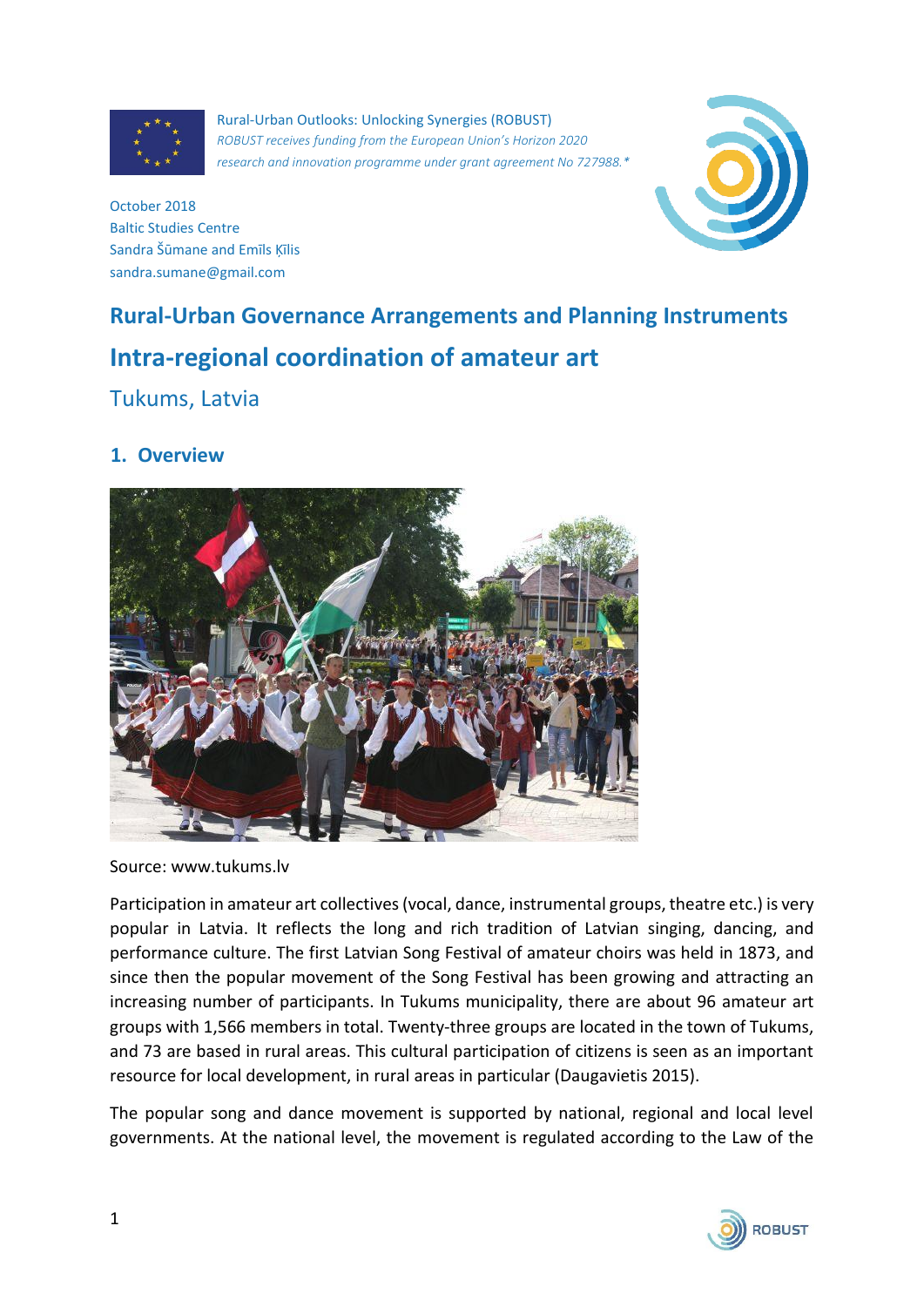

Rural-Urban Outlooks: Unlocking Synergies (ROBUST) *ROBUST receives funding from the European Union's Horizon 2020 research and innovation programme under grant agreement No 727988.\**



October 2018 Baltic Studies Centre Sandra Šūmane and Emīls Ķīlis sandra.sumane@gmail.com

# **Rural-Urban Governance Arrangements and Planning Instruments Intra-regional coordination of amateur art**

# Tukums, Latvia

#### **1. Overview**



Source: www.tukums.lv

Participation in amateur art collectives (vocal, dance, instrumental groups, theatre etc.) is very popular in Latvia. It reflects the long and rich tradition of Latvian singing, dancing, and performance culture. The first Latvian Song Festival of amateur choirs was held in 1873, and since then the popular movement of the Song Festival has been growing and attracting an increasing number of participants. In Tukums municipality, there are about 96 amateur art groups with 1,566 members in total. Twenty-three groups are located in the town of Tukums, and 73 are based in rural areas. This cultural participation of citizens is seen as an important resource for local development, in rural areas in particular (Daugavietis 2015).

The popular song and dance movement is supported by national, regional and local level governments. At the national level, the movement is regulated according to the Law of the

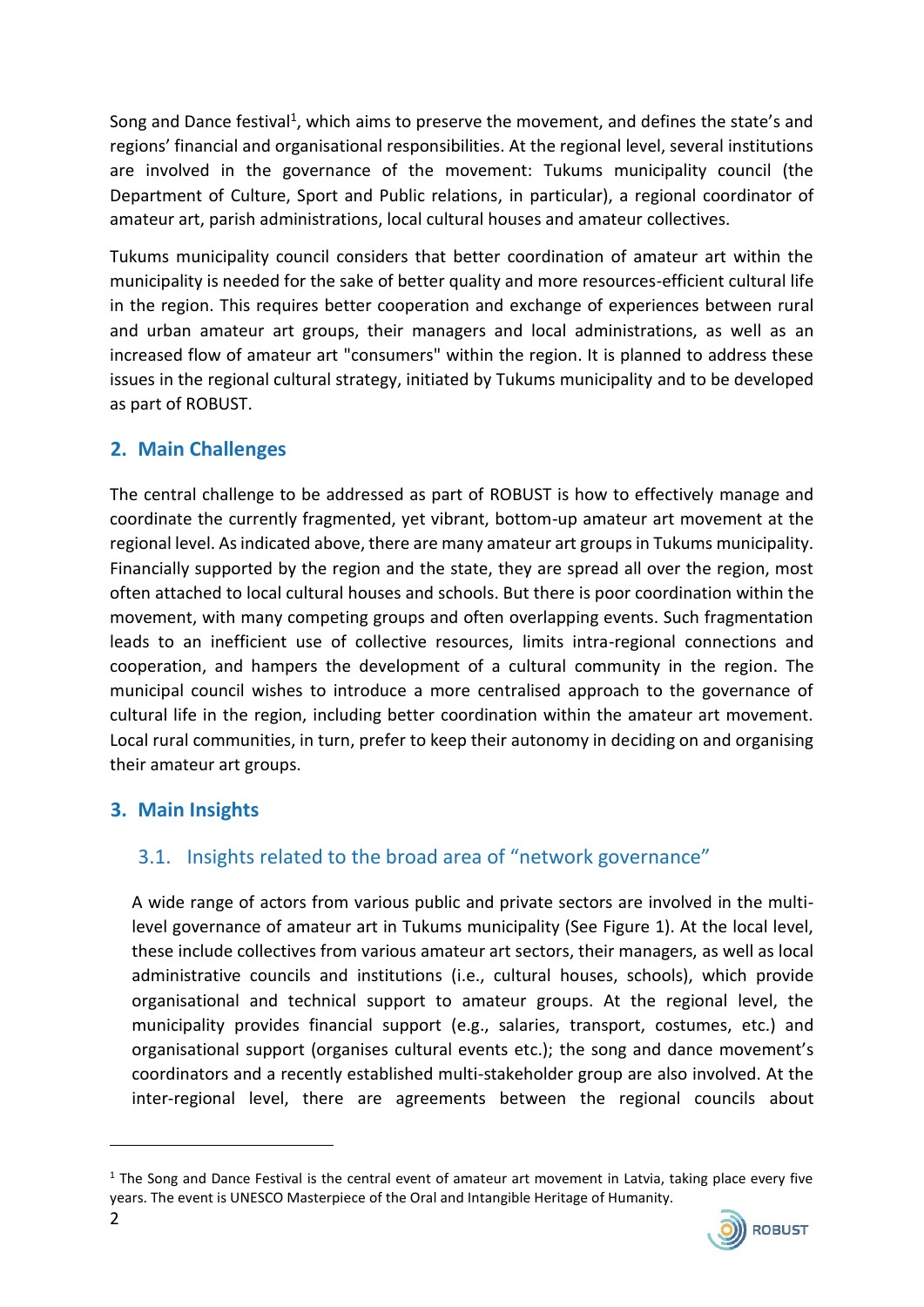Song and Dance festival<sup>1</sup>, which aims to preserve the movement, and defines the state's and regions' financial and organisational responsibilities. At the regional level, several institutions are involved in the governance of the movement: Tukums municipality council (the Department of Culture, Sport and Public relations, in particular), a regional coordinator of amateur art, parish administrations, local cultural houses and amateur collectives.

Tukums municipality council considers that better coordination of amateur art within the municipality is needed for the sake of better quality and more resources-efficient cultural life in the region. This requires better cooperation and exchange of experiences between rural and urban amateur art groups, their managers and local administrations, as well as an increased flow of amateur art "consumers" within the region. It is planned to address these issues in the regional cultural strategy, initiated by Tukums municipality and to be developed as part of ROBUST.

### **2. Main Challenges**

The central challenge to be addressed as part of ROBUST is how to effectively manage and coordinate the currently fragmented, yet vibrant, bottom-up amateur art movement at the regional level. As indicated above, there are many amateur art groups in Tukums municipality. Financially supported by the region and the state, they are spread all over the region, most often attached to local cultural houses and schools. But there is poor coordination within the movement, with many competing groups and often overlapping events. Such fragmentation leads to an inefficient use of collective resources, limits intra-regional connections and cooperation, and hampers the development of a cultural community in the region. The municipal council wishes to introduce a more centralised approach to the governance of cultural life in the region, including better coordination within the amateur art movement. Local rural communities, in turn, prefer to keep their autonomy in deciding on and organising their amateur art groups.

#### **3. Main Insights**

### 3.1. Insights related to the broad area of "network governance"

A wide range of actors from various public and private sectors are involved in the multilevel governance of amateur art in Tukums municipality (See Figure 1). At the local level, these include collectives from various amateur art sectors, their managers, as well as local administrative councils and institutions (i.e., cultural houses, schools), which provide organisational and technical support to amateur groups. At the regional level, the municipality provides financial support (e.g., salaries, transport, costumes, etc.) and organisational support (organises cultural events etc.); the song and dance movement's coordinators and a recently established multi-stakeholder group are also involved. At the inter-regional level, there are agreements between the regional councils about

 $1$  The Song and Dance Festival is the central event of amateur art movement in Latvia, taking place every five years. The event is UNESCO Masterpiece of the Oral and Intangible Heritage of Humanity.



**.**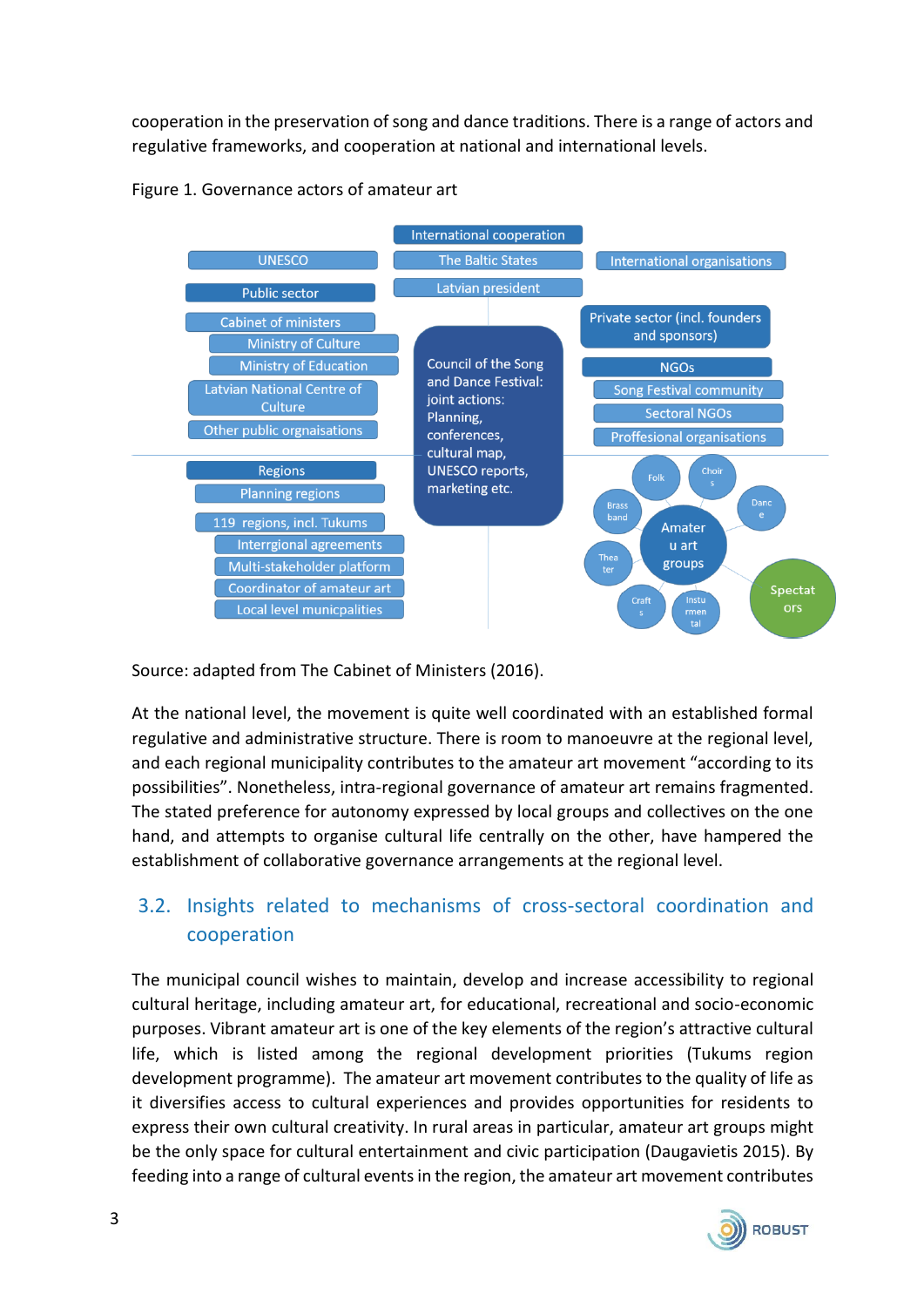cooperation in the preservation of song and dance traditions. There is a range of actors and regulative frameworks, and cooperation at national and international levels.





Source: adapted from The Cabinet of Ministers (2016).

At the national level, the movement is quite well coordinated with an established formal regulative and administrative structure. There is room to manoeuvre at the regional level, and each regional municipality contributes to the amateur art movement "according to its possibilities". Nonetheless, intra-regional governance of amateur art remains fragmented. The stated preference for autonomy expressed by local groups and collectives on the one hand, and attempts to organise cultural life centrally on the other, have hampered the establishment of collaborative governance arrangements at the regional level.

# 3.2. Insights related to mechanisms of cross-sectoral coordination and cooperation

The municipal council wishes to maintain, develop and increase accessibility to regional cultural heritage, including amateur art, for educational, recreational and socio-economic purposes. Vibrant amateur art is one of the key elements of the region's attractive cultural life, which is listed among the regional development priorities (Tukums region development programme). The amateur art movement contributes to the quality of life as it diversifies access to cultural experiences and provides opportunities for residents to express their own cultural creativity. In rural areas in particular, amateur art groups might be the only space for cultural entertainment and civic participation (Daugavietis 2015). By feeding into a range of cultural events in the region, the amateur art movement contributes

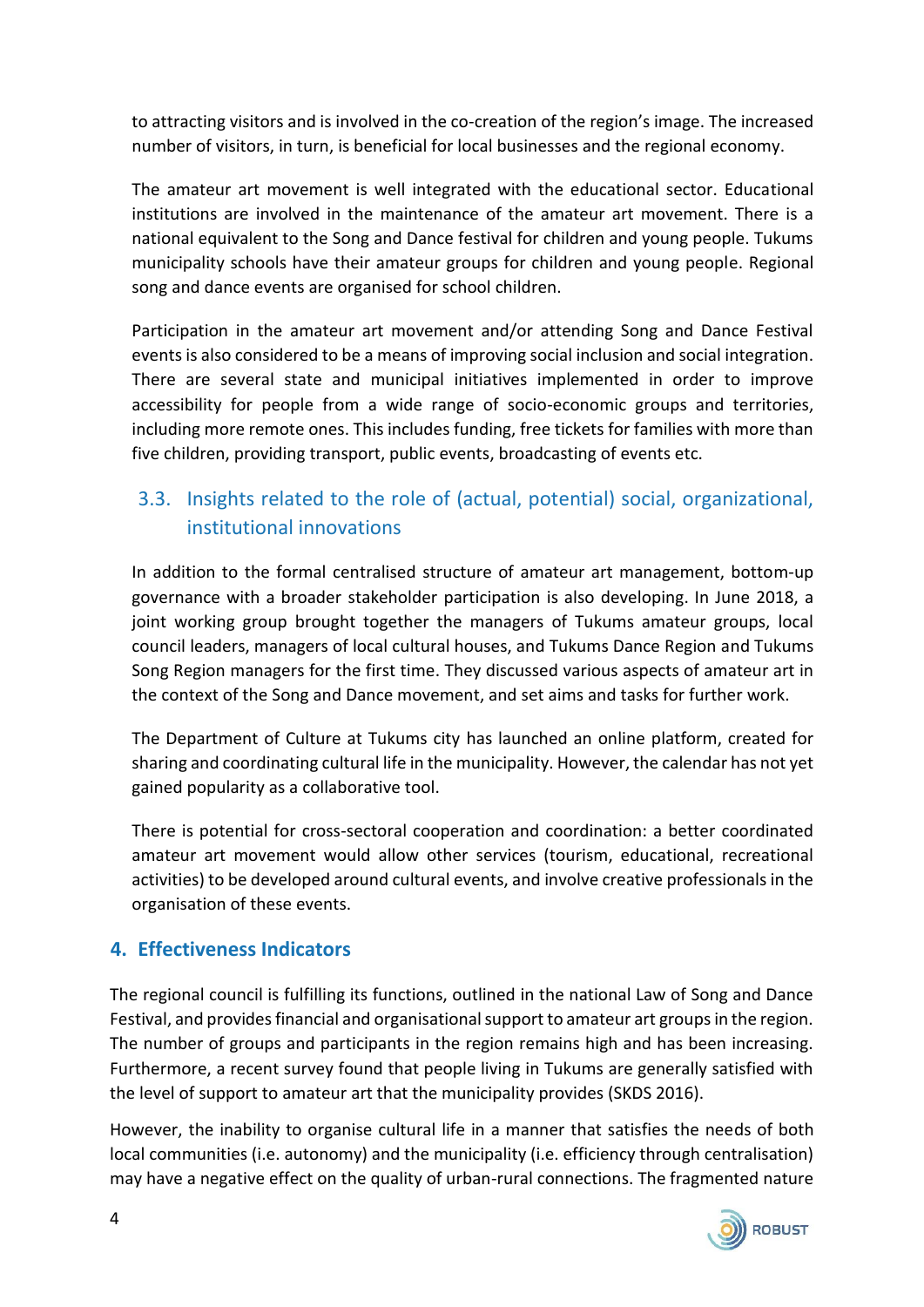to attracting visitors and is involved in the co-creation of the region's image. The increased number of visitors, in turn, is beneficial for local businesses and the regional economy.

The amateur art movement is well integrated with the educational sector. Educational institutions are involved in the maintenance of the amateur art movement. There is a national equivalent to the Song and Dance festival for children and young people. Tukums municipality schools have their amateur groups for children and young people. Regional song and dance events are organised for school children.

Participation in the amateur art movement and/or attending Song and Dance Festival events is also considered to be a means of improving social inclusion and social integration. There are several state and municipal initiatives implemented in order to improve accessibility for people from a wide range of socio-economic groups and territories, including more remote ones. This includes funding, free tickets for families with more than five children, providing transport, public events, broadcasting of events etc.

# 3.3. Insights related to the role of (actual, potential) social, organizational, institutional innovations

In addition to the formal centralised structure of amateur art management, bottom-up governance with a broader stakeholder participation is also developing. In June 2018, a joint working group brought together the managers of Tukums amateur groups, local council leaders, managers of local cultural houses, and Tukums Dance Region and Tukums Song Region managers for the first time. They discussed various aspects of amateur art in the context of the Song and Dance movement, and set aims and tasks for further work.

The Department of Culture at Tukums city has launched an online platform, created for sharing and coordinating cultural life in the municipality. However, the calendar has not yet gained popularity as a collaborative tool.

There is potential for cross-sectoral cooperation and coordination: a better coordinated amateur art movement would allow other services (tourism, educational, recreational activities) to be developed around cultural events, and involve creative professionals in the organisation of these events.

### **4. Effectiveness Indicators**

The regional council is fulfilling its functions, outlined in the national Law of Song and Dance Festival, and provides financial and organisational support to amateur art groups in the region. The number of groups and participants in the region remains high and has been increasing. Furthermore, a recent survey found that people living in Tukums are generally satisfied with the level of support to amateur art that the municipality provides (SKDS 2016).

However, the inability to organise cultural life in a manner that satisfies the needs of both local communities (i.e. autonomy) and the municipality (i.e. efficiency through centralisation) may have a negative effect on the quality of urban-rural connections. The fragmented nature